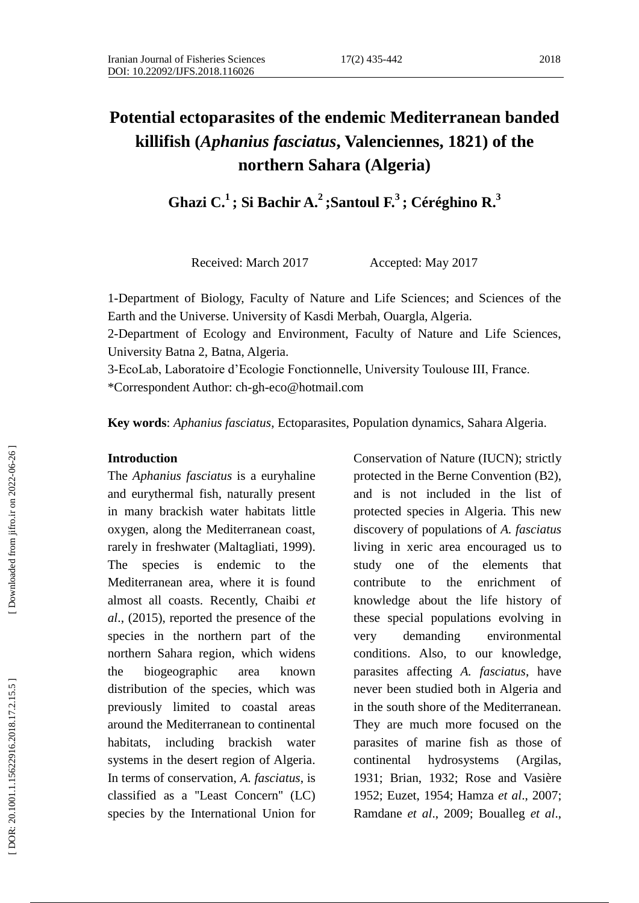#### 2018

# **Potential ectoparasites of the endemic Mediterranean banded killifish (***Aphanius fasciatus***, Valenciennes, 1821) of the northern Sahara (Algeria)**

**Ghazi C . 1 ; Si Bachir A . 2 ;Santoul F. 3 ; Céréghino R . 3**

Received: March 2017 **Accepted: May 2017** 

1 -Department of Biology, Faculty of Nature and Life Sciences; and Sciences of the Earth and the Universe. University of Kasdi Merbah, Ouargla, Algeria.

2-Department of Ecology and Environment, Faculty of Nature and Life Sciences, University Batna 2, Batna, Algeria.

3-EcoLab, Laboratoire d'Ecologie Fonctionnelle, University Toulouse III, France. \*Correspondent Author: ch -gh -eco@hotmail.com

**Key words**: *Aphanius fasciatus*, Ectoparasites, Population dynamics, Sahara Algeria.

#### **Introduction**

The *Aphanius fasciatus* is a euryhaline and eurythermal fish, naturally present in many brackish water habitats little oxygen, along the Mediterranean coast, rarely in freshwater (Maltagliati , 1999). The species is endemic to the Mediterranean area, where it is found almost all coasts. Recently, Chaibi *et al*., (2015), reported the presence of the species in the northern part of the northern Sahara region, which widens the biogeographic area known distribution of the species, which was previously limited to coastal areas around the Mediterranean to continental habitats, including brackish water systems in the desert region of Algeria. In terms of conservation, *A. fasciatus*, is classified as a ''Least Concern'' (LC) species by the International Union for

Conservation of Nature (IUCN); strictly protected in the Berne Convention (B2) , and is not included in the list of protected species in Algeria. This new discovery of populations of *A. fasciatus* living in xeric area encouraged us to study one of the elements that contribute to the enrichment of knowledge about the life history of these special populations evolving in very demanding environmental conditions. Also, to our knowledge, parasites affecting *A. fasciatus*, have never been studied both in Algeria and in the south shore of the Mediterranean. They are much more focused on the parasites of marine fish as those of continental hydrosystems (Argilas, 1931; Brian, 1932; Rose and Vasière 1952; Euzet, 1954; Hamza *et al*., 2007; Ramdane *et al*., 2009; Boualleg *et al*.,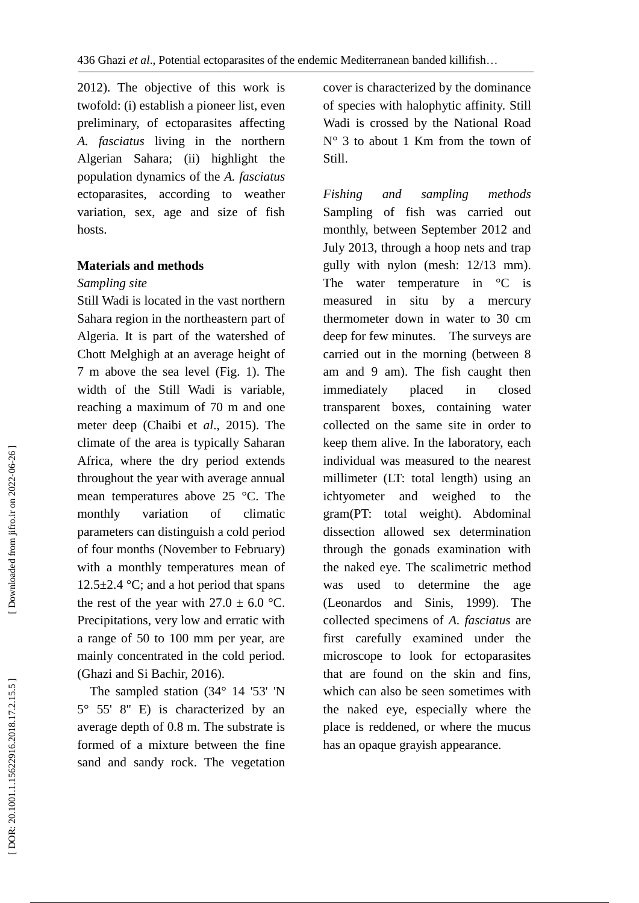2012). The objective of this work is twofold: (i) establish a pioneer list, even preliminary, of ectoparasites affecting *A. fasciatus* living in the northern Algerian Sahara; (ii) highlight the population dynamics of the *A. fasciatus*  ectoparasites, according to weather variation, sex, age and size of fish hosts.

## **Materials and methods**

## *Sampling site*

Still Wadi is located in the vast northern Sahara region in the northeastern part of Algeria. It is part of the watershed of Chott Melghigh at an average height of 7 m above the sea level (Fig . 1). The width of the Still Wadi is variable, reaching a maximum of 70 m and one meter deep (Chaibi et *al*., 2015). The climate of the area is typically Saharan Africa, where the dry period extends throughout the year with average annual mean temperatures above 25 °C. The monthly variation of climatic parameters can distinguish a cold period of four months (November to February) with a monthly temperatures mean of 12.5 $\pm$ 2.4 °C; and a hot period that spans the rest of the year with  $27.0 \pm 6.0$  °C. Precipitations, very low and erratic with a range of 50 to 100 mm per year, are mainly concentrated in the cold period. (Ghazi and Si Bachir, 201 6).

 The sampled station (34° 14 '53' 'N 5° 55' 8'' E) is characterized by an average depth of 0.8 m. The substrate is formed of a mixture between the fine sand and sandy rock. The vegetation cover is characterized by the dominance of species with halophytic affinity. Still Wadi is crossed by the National Road  $N^{\circ}$  3 to about 1 Km from the town of Still.

*Fishing and sampling methods* Sampling of fish was carried out monthly, between September 2012 and July 2013, through a hoop nets and trap gully with nylon (mesh: 12/13 mm). The water temperature in  $\mathrm{C}$  is measured in situ by a mercury thermometer down in water to 30 cm deep for few minutes. The surveys are carried out in the morning (between 8 am and 9 am). The fish caught then immediately placed in closed transparent boxes, containing water collected on the same site in order to keep them alive. In the laboratory, each individual was measured to the nearest millimeter (LT: total length) using an ichtyometer and weighed to the gram(PT: total weight). Abdominal dissection allowed sex determination through the gonads examination with the naked eye. The scalimetric method was used to determine the age (Leonardos and Sinis, 1999). The collected specimens of *A. fasciatus* are first carefully examined under the microscope to look for ectoparasites that are found on the skin and fins, which can also be seen sometimes with the naked eye, especially where the place is reddened, or where the mucus has an opaque grayish appearance.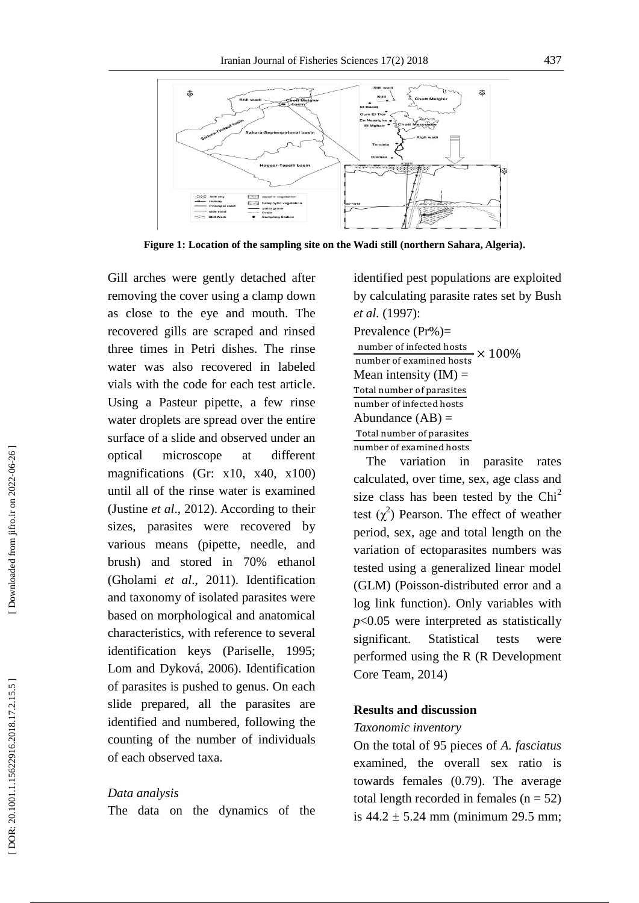

Figure 1: Location of the sampling site on the Wadi still (northern Sahara, Algeria).

Gill arches were gently detached after removing the cover using a clamp down as close to the eye and mouth. The recovered gills are scraped and rinsed three times in Petri dishes. The rinse water was also recovered in labeled vials with the code for each test article. Using a Pasteur pipette, a few rinse water droplets are spread over the entire surface of a slide and observed under an optical microscope at different magnifications (Gr: x10, x40, x100) until all of the rinse water is examined (Justine *et al*., 2012). According to their sizes, parasites were recovered by various means (pipette, needle, and brush) and stored in 70% ethanol (Gholami *et al*., 2011). Identification and taxonomy of isolated parasites were based on morphological and anatomical characteristics, with reference to several identification keys (Pariselle, 1995; Lom and Dyková, 2006). Identification of parasites is pushed to genus. On each slide prepared, all the parasites are identified and numbered, following the counting of the number of individuals of each observed taxa.

#### *Data analysis*

The data on the dynamics of the

identified pest populations are exploited by calculating parasite rates set by Bush *et al .* (1997): Prevalence (Pr%)= number of infected hosts number of examined hosts  $\times 100\%$ Mean intensity  $(IM)$  = Total number of parasites number of infected hosts Abundance  $(AB)$  = Total number of parasites number of examined hosts

 The variation in parasite rates calculated, over time, sex, age class and size class has been tested by the  $Chi<sup>2</sup>$ test  $(\chi^2)$  Pearson. The effect of weather period, sex, age and total length on the variation of ectoparasites numbers was tested using a generalized linear model (GLM) (Poisson -distributed error and a log link function). Only variables with *p*<0.05 were interpreted as statistically significant. Statistical tests were performed using the R (R Development Core Team, 2014)

# **Results and discussion**

#### *Taxonomic inventory*

On the total of 95 pieces of *A. fasciatus* examined, the overall sex ratio is towards females (0.79). The average total length recorded in females  $(n = 52)$ is  $44.2 \pm 5.24$  mm (minimum 29.5 mm;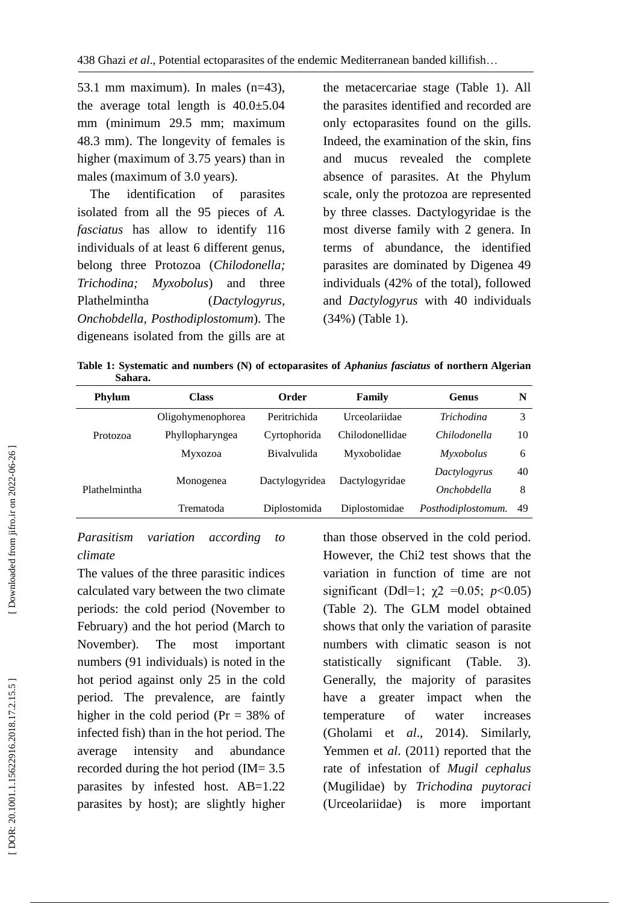53.1 mm maximum). In males (n=43), the average total length is  $40.0 \pm 5.04$ mm (minimum 29.5 mm; maximum 48.3 mm). The longevity of females is higher (maximum of 3.75 years) than in males (maximum of 3.0 years).

 The identification of parasites isolated from all the 95 pieces of *A. fasciatus* has allow to identify 116 individuals of at least 6 different genus, belong three Protozoa (*Chilodonella; Trichodina; Myxobolus*) and three Plathelmintha (*Dactylogyrus, Onchobdella, Posthodiplostomum*). The digeneans isolated from the gills are at the metacercariae stage (Table 1). All the parasites identified and recorded are only ectoparasites found on the gills. Indeed, the examination of the skin, fins and mucus revealed the complete absence of parasites. At the Phylum scale, only the protozoa are represented by three classes. Dactylogyridae is the most diverse family with 2 genera. In terms of abundance, the identified parasites are dominated by Digenea 49 individuals (42% of the total), followed and *Dactylogyrus* with 40 individuals (34%) (Table 1).

**Table 1: Systematic and numbers (N) of ectoparasites of** *Aphanius fasciatus* **of northern Algerian Sahara .**

| Phylum               | <b>Class</b>      | Order              | Family          | Genus               | N  |
|----------------------|-------------------|--------------------|-----------------|---------------------|----|
|                      | Oligohymenophorea | Peritrichida       | Urceolariidae   | <i>Trichodina</i>   | 3  |
| Protozoa             | Phyllopharyngea   | Cyrtophorida       | Chilodonellidae | <i>Chilodonella</i> | 10 |
|                      | Myxozoa           | <b>Bivalvulida</b> | Myxobolidae     | <i>Myxobolus</i>    | 6  |
|                      |                   |                    |                 | Dactylogyrus        | 40 |
| <b>Plathelmintha</b> | Monogenea         | Dactylogyridea     | Dactylogyridae  | Onchobdella         | 8  |
|                      | Trematoda         | Diplostomida       | Diplostomidae   | Posthodiplostomum.  | 49 |
|                      |                   |                    |                 |                     |    |

# *Parasitism variation according to climate*

The values of the three parasitic indices calculated vary between the two climate periods: the cold period (November to February) and the hot period (March to November). The most important numbers (91 individuals) is noted in the hot period against only 25 in the cold period. The prevalence, are faintly higher in the cold period (Pr = 38% of infected fish) than in the hot period. The average intensity and abundance recorded during the hot period (IM= 3.5 parasites by infested host. AB=1.22 parasites by host); are slightly higher than those observed in the cold period. However, the Chi2 test shows that the variation in function of time are not significant (Ddl=1;  $\chi$ 2 =0.05; *p*<0.05) (Table 2). The GLM model obtained shows that only the variation of parasite numbers with climatic season is not statistically significant (Table. 3). Generally, the majority of parasites have a greater impact when the temperature of water increases (Gholami et *al*., 2014). Similarly, Yemmen et *al*. (2011) reported that the rate of infestation of *Mugil cephalus* (Mugilidae) by *Trichodina puytoraci* (Urceolariidae) is more important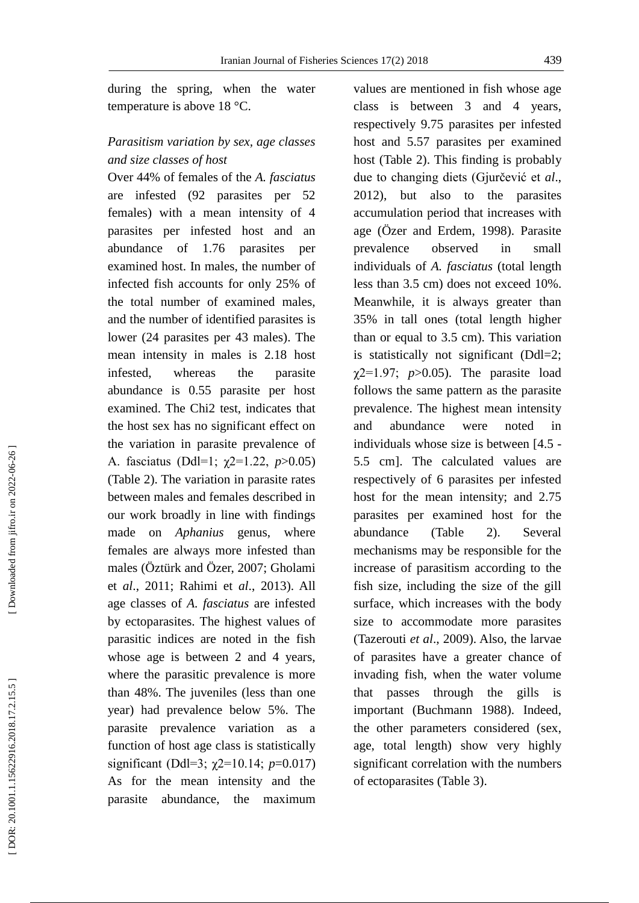during the spring, when the water temperature is above 18 °C.

# *Parasitism variation by sex, age classes and size classes of host*

Over 44% of females of the *A. fasciatus* are infested (92 parasites per 52 females) with a mean intensity of 4 parasites per infested host and an abundance of 1.76 parasites per examined host. In males, the number of infected fish accounts for only 25% of the total number of examined males, and the number of identified parasites is lower (24 parasites per 43 males). The mean intensity in males is 2.18 host infested, whereas the parasite abundance is 0.55 parasite per host examined. The Chi2 test, indicates that the host sex has no significant effect on the variation in parasite prevalence of A. fasciatus (Ddl=1; χ2=1.22, *p*>0.05) (Table 2). The variation in parasite rates between males and females described in our work broadly in line with findings made on *Aphanius* genus, where females are always more infested than males (Öztürk and Özer, 2007; Gholami et *al*., 2011; Rahimi et *al*., 2013). All age classes of *A. fasciatus* are infested by ectoparasites. The highest values of parasitic indices are noted in the fish whose age is between 2 and 4 years, where the parasitic prevalence is more than 48%. The juveniles (less than one year) had prevalence below 5%. The parasite prevalence variation as a function of host age class is statistically significant (Ddl=3; χ2=10.14; *p*=0.017) As for the mean intensity and the parasite abundance, the maximum

values are mentioned in fish whose age class is between 3 and 4 years, respectively 9.75 parasites per infested host and 5.57 parasites per examined host (Table 2). This finding is probably due to changing diets (Gjurčević et *al*., 2012), but also to the parasites accumulation period that increases with age (Özer and Erdem, 1998). Parasite prevalence observed in small individuals of *A. fasciatus* (total length less than 3.5 cm) does not exceed 10%. Meanwhile, it is always greater than 35% in tall ones (total length higher than or equal to 3.5 cm). This variation is statistically not significant (Ddl=2;  $\chi$ 2=1.97;  $p > 0.05$ ). The parasite load follows the same pattern as the parasite prevalence. The highest mean intensity and abundance were noted in individuals whose size is between [4.5 - 5.5 cm ]. The calculated values are respectively of 6 parasites per infested host for the mean intensity; and 2.75 parasites per examined host for the abundance (Table 2). Several mechanisms may be responsible for the increase of parasitism according to the fish size, including the size of the gill surface, which increases with the body size to accommodate more parasites (Tazerouti *et al*., 2009). Also, the larvae of parasites have a greater chance of invading fish, when the water volume that passes through the gills important (Buchmann 1988). Indeed, the other parameters considered (sex, age, total length) show very highly significant correlation with the numbers of ectoparasites (Table 3) .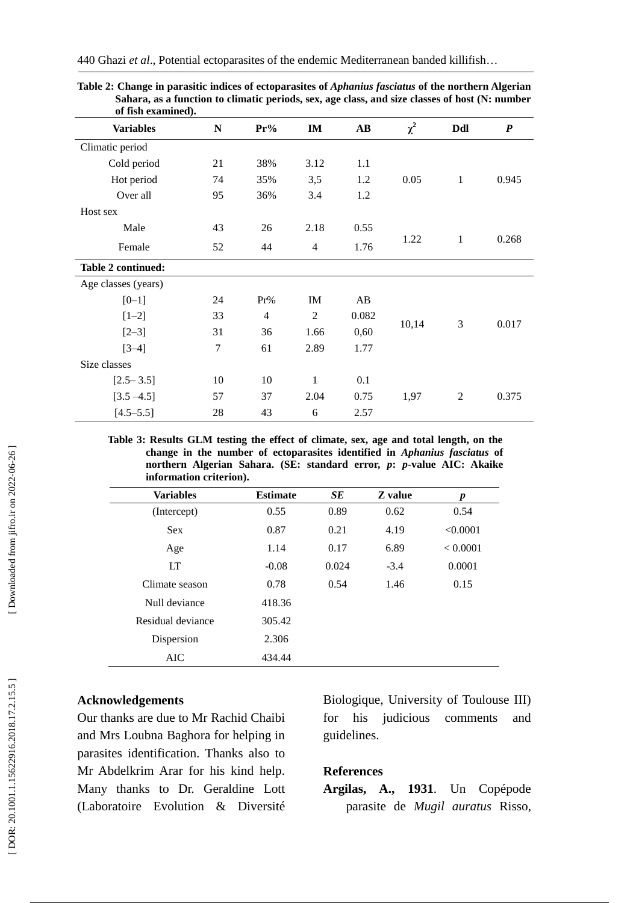| of fish examined).  |    |                |                |       |          |              |                  |
|---------------------|----|----------------|----------------|-------|----------|--------------|------------------|
| <b>Variables</b>    | N  | $Pr\%$         | IM             | AB    | $\chi^2$ | Ddl          | $\boldsymbol{P}$ |
| Climatic period     |    |                |                |       |          |              |                  |
| Cold period         | 21 | 38%            | 3.12           | 1.1   |          |              |                  |
| Hot period          | 74 | 35%            | 3,5            | 1.2   | 0.05     | $\mathbf{1}$ | 0.945            |
| Over all            | 95 | 36%            | 3.4            | 1.2   |          |              |                  |
| Host sex            |    |                |                |       |          |              |                  |
| Male                | 43 | 26             | 2.18           | 0.55  |          |              |                  |
| Female              | 52 | 44             | $\overline{4}$ | 1.76  | 1.22     | $\mathbf{1}$ | 0.268            |
| Table 2 continued:  |    |                |                |       |          |              |                  |
| Age classes (years) |    |                |                |       |          |              |                  |
| $[0-1]$             | 24 | Pr%            | IM             | AB    |          |              |                  |
| $[1-2]$             | 33 | $\overline{4}$ | $\overline{2}$ | 0.082 |          | 3            | 0.017            |
| $[2-3]$             | 31 | 36             | 1.66           | 0,60  | 10,14    |              |                  |
| $[3-4]$             | 7  | 61             | 2.89           | 1.77  |          |              |                  |
| Size classes        |    |                |                |       |          |              |                  |
| $[2.5 - 3.5]$       | 10 | 10             | $\mathbf{1}$   | 0.1   |          |              |                  |
| $[3.5 - 4.5]$       | 57 | 37             | 2.04           | 0.75  | 1,97     | 2            | 0.375            |
| $[4.5 - 5.5]$       | 28 | 43             | 6              | 2.57  |          |              |                  |

440 Ghazi *et al*., Potential ectoparasites of the endemic Mediterranean banded killifish …

**Table 2: Change in parasitic indices of ectoparasites of** *Aphanius fasciatus* **of the northern Algerian**  Sahara, as a function to climatic periods, sex, age class, and size classes of host (N: number

**Table 3: Results GLM testing the effect of climate, sex, age and total length, on the change in the number of ectoparasites identified in** *Aphanius fasciatus* **of northern Algerian Sahara. (SE: standard error,**  *p***:**  *p* **-value AIC: Akaike information criterion) .**

| <b>Variables</b>  | <b>Estimate</b> | SE    | Z value | $\boldsymbol{p}$ |
|-------------------|-----------------|-------|---------|------------------|
| (Intercept)       | 0.55            | 0.89  | 0.62    | 0.54             |
| <b>Sex</b>        | 0.87            | 0.21  | 4.19    | < 0.0001         |
| Age               | 1.14            | 0.17  | 6.89    | < 0.0001         |
| LT                | $-0.08$         | 0.024 | $-3.4$  | 0.0001           |
| Climate season    | 0.78            | 0.54  | 1.46    | 0.15             |
| Null deviance     | 418.36          |       |         |                  |
| Residual deviance | 305.42          |       |         |                  |
| Dispersion        | 2.306           |       |         |                  |
| <b>AIC</b>        | 434.44          |       |         |                  |

# **Acknowledgements**

Our thanks are due to Mr Rachid Chaibi and Mrs Loubna Baghora for helping in parasites identification. Thanks also to Mr Abdelkrim Arar for his kind help. Many thanks to Dr. Geraldine Lott (Laboratoire Evolution & Diversité Biologique, University of Toulouse III) for his judicious comments and guidelines.

### **References**

**Argilas , A., 1931**. Un Copépode parasite de *Mugil auratus* Risso,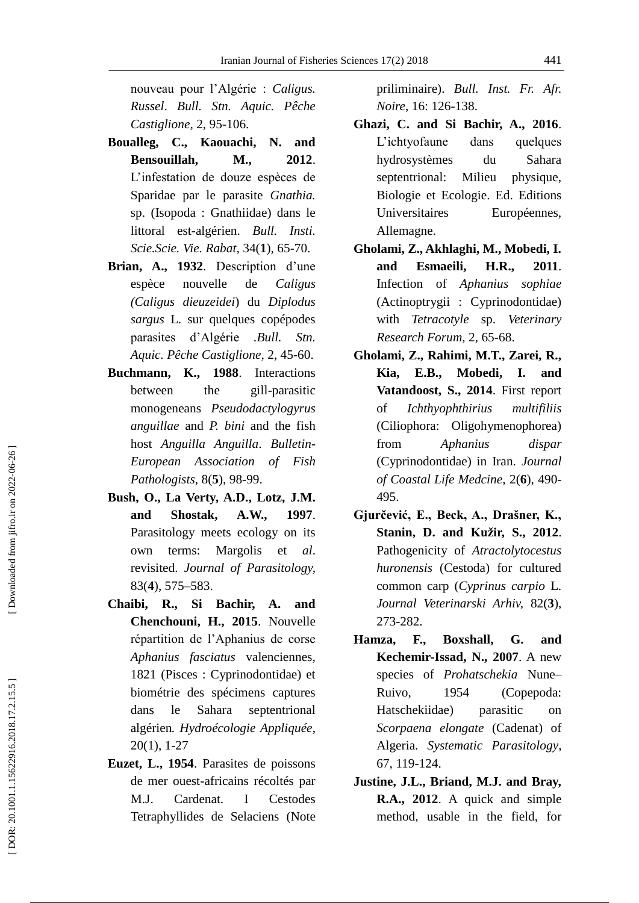nouveau pour l'Algérie : *Caligus. Russel*. *Bull. Stn. Aquic. Pêche Castiglione,*  2, 95 -106.

- **Boualleg, C., Kaouachi, N. and Bensouillah, M., 2012**. L'infestation de douze espèces de Sparidae par le parasite *Gnathia.*  sp. (Isopoda : Gnathiidae) dans le littoral est -algérien. *Bull. Insti. Scie.Scie. Vie. Rabat*, 34( **1** ) , 65 -70.
- **Brian , A., 1932**. Description d'une espèce nouvelle de *Caligus (Caligus dieuzeidei*) du *Diplodus sargus* L. sur quelques copépodes parasites d'Algérie *.Bull. Stn. Aquic. Pêche Castiglione,*  2 , 45 -60.
- **Buchmann, K., 1988**. Interactions between the gill-parasitic monogeneans *Pseudodactylogyrus anguillae* and *P. bini* and the fish host *Anguilla Anguilla*. *Bulletin - European Association of Fish Pathologists*, 8( **5** ) , 98 -99.
- **Bush, O., La Verty , A.D., Lotz , J.M. and Shostak , A.W., 1997**. Parasitology meets ecology on its own terms: Margolis et *al*. revisited. *Journal of Parasitology,* 83( **4** ) , 575 –583.
- **Chaibi, R., Si Bachir, A. and Chenchouni , H., 2015**. Nouvelle répartition de l'Aphanius de corse *Aphanius fasciatus* valenciennes, 1821 (Pisces : Cyprinodontidae) et biométrie des spécimens captures dans le Sahara septentrional algérien*. Hydroécologie Appliquée*, 20( 1 ) , 1 -27
- **Euzet, L., 1954**. Parasites de poissons de mer ouest -africains récoltés par M.J. Cardenat. I Cestodes Tetraphyllides de Selaciens (Note

priliminaire). *Bull. Inst. Fr. Afr. Noire*, 16: 126 -138.

- **Ghazi, C. and Si Bachir, A., 2016**. L'ichtyofaune dans quelques hydrosystèmes du Sahara septentrional: Milieu physique, Biologie et Ecologie. Ed. Editions Universitaires Européennes, Allemagne.
- **Gholami, Z., Akhlaghi, M., Mobedi, I. and Esmaeili , H.R., 2011**. Infection of *Aphanius sophiae* (Actinoptrygii : Cyprinodontidae) with *Tetracotyle* sp. *Veterinary Research Forum*, 2 , 65 -68.
- **Gholami, Z., Rahimi, M.T., Zarei, R., Kia , E.B., Mobedi, I. and Vatandoost, S., 2014**. First report of *Ichthyophthirius multifiliis* (Ciliophora: Oligohymenophorea) from *Aphanius dispar* (Cyprinodontidae) in Iran. *Journal*  of Coastal Life Medcine, 2(6), 490-495.
- **Gjurčević, E., Beck, A., Drašner, K., Stanin, D. and Kužir, S., 2012**. Pathogenicity of *Atractolytocestus huronensis* (Cestoda) for cultured common carp (*Cyprinus carpio* L. *Journal Veterinarski Arhiv,* 82(**3**), 273 -282.
- **Hamza, F., Boxshall, G. and Kechemir -Issad, N., 2007**. A new species of *Prohatschekia* Nune – Ruivo, 1954 (Copepoda: Hatschekiidae) parasitic on *Scorpaena elongate* (Cadenat) of Algeria. *Systematic Parasitology* , 67, 119 -124.
- **Justine, J.L., Briand, M.J. and Bray, R.A., 2012**. A quick and simple method, usable in the field, for